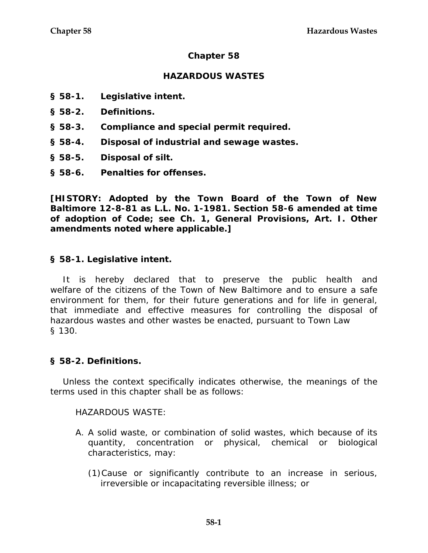### **Chapter 58**

### **HAZARDOUS WASTES**

- **§ 58-1. Legislative intent.**
- **§ 58-2. Definitions.**
- **§ 58-3. Compliance and special permit required.**
- **§ 58-4. Disposal of industrial and sewage wastes.**
- **§ 58-5. Disposal of silt.**
- **§ 58-6. Penalties for offenses.**

**[HISTORY: Adopted by the Town Board of the Town of New Baltimore 12-8-81 as L.L. No. 1-1981. Section 58-6 amended at time of adoption of Code; see Ch. 1, General Provisions, Art. I. Other amendments noted where applicable.]** 

#### **§ 58-1. Legislative intent.**

It is hereby declared that to preserve the public health and welfare of the citizens of the Town of New Baltimore and to ensure a safe environment for them, for their future generations and for life in general, that immediate and effective measures for controlling the disposal of hazardous wastes and other wastes be enacted, pursuant to Town Law § 130.

#### **§ 58-2. Definitions.**

Unless the context specifically indicates otherwise, the meanings of the terms used in this chapter shall be as follows:

HAZARDOUS WASTE:

- A. A solid waste, or combination of solid wastes, which because of its quantity, concentration or physical, chemical or biological characteristics, may:
	- (1)Cause or significantly contribute to an increase in serious, irreversible or incapacitating reversible illness; or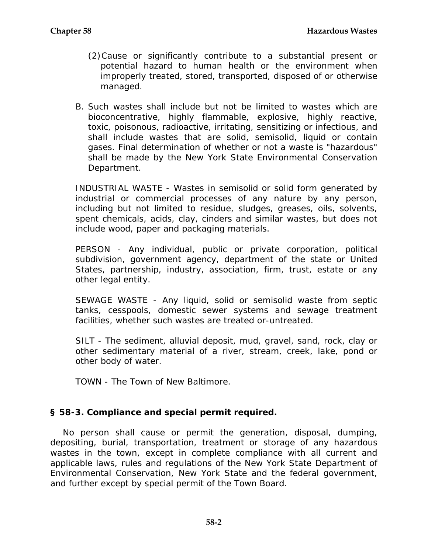- (2)Cause or significantly contribute to a substantial present or potential hazard to human health or the environment when improperly treated, stored, transported, disposed of or otherwise managed.
- B. Such wastes shall include but not be limited to wastes which are bioconcentrative, highly flammable, explosive, highly reactive, toxic, poisonous, radioactive, irritating, sensitizing or infectious, and shall include wastes that are solid, semisolid, liquid or contain gases. Final determination of whether or not a waste is "hazardous" shall be made by the New York State Environmental Conservation Department.

INDUSTRIAL WASTE - Wastes in semisolid or solid form generated by industrial or commercial processes of any nature by any person, including but not limited to residue, sludges, greases, oils, solvents, spent chemicals, acids, clay, cinders and similar wastes, but does not include wood, paper and packaging materials.

PERSON - Any individual, public or private corporation, political subdivision, government agency, department of the state or United States, partnership, industry, association, firm, trust, estate or any other legal entity.

SEWAGE WASTE - Any liquid, solid or semisolid waste from septic tanks, cesspools, domestic sewer systems and sewage treatment facilities, whether such wastes are treated or-untreated.

SILT - The sediment, alluvial deposit, mud, gravel, sand, rock, clay or other sedimentary material of a river, stream, creek, lake, pond or other body of water.

TOWN - The Town of New Baltimore.

### **§ 58-3. Compliance and special permit required.**

No person shall cause or permit the generation, disposal, dumping, depositing, burial, transportation, treatment or storage of any hazardous wastes in the town, except in complete compliance with all current and applicable laws, rules and regulations of the New York State Department of Environmental Conservation, New York State and the federal government, and further except by special permit of the Town Board.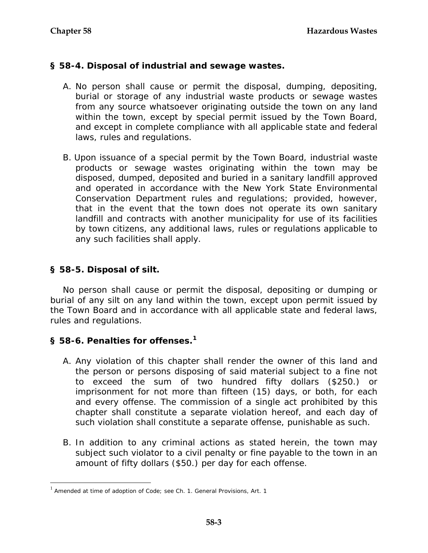# **§ 58-4. Disposal of industrial and sewage wastes.**

- A. No person shall cause or permit the disposal, dumping, depositing, burial or storage of any industrial waste products or sewage wastes from any source whatsoever originating outside the town on any land within the town, except by special permit issued by the Town Board, and except in complete compliance with all applicable state and federal laws, rules and regulations.
- B. Upon issuance of a special permit by the Town Board, industrial waste products or sewage wastes originating within the town may be disposed, dumped, deposited and buried in a sanitary landfill approved and operated in accordance with the New York State Environmental Conservation Department rules and regulations; provided, however, that in the event that the town does not operate its own sanitary landfill and contracts with another municipality for use of its facilities by town citizens, any additional laws, rules or regulations applicable to any such facilities shall apply.

# **§ 58-5. Disposal of silt.**

 $\overline{a}$ 

No person shall cause or permit the disposal, depositing or dumping or burial of any silt on any land within the town, except upon permit issued by the Town Board and in accordance with all applicable state and federal laws, rules and regulations.

### **§ 58-6. Penalties for offenses.[1](#page-2-0)**

- A. Any violation of this chapter shall render the owner of this land and the person or persons disposing of said material subject to a fine not to exceed the sum of two hundred fifty dollars (\$250.) or imprisonment for not more than fifteen (15) days, or both, for each and every offense. The commission of a single act prohibited by this chapter shall constitute a separate violation hereof, and each day of such violation shall constitute a separate offense, punishable as such.
- B. In addition to any criminal actions as stated herein, the town may subject such violator to a civil penalty or fine payable to the town in an amount of fifty dollars (\$50.) per day for each offense.

<span id="page-2-0"></span> $1$  Amended at time of adoption of Code; see Ch. 1. General Provisions, Art. 1